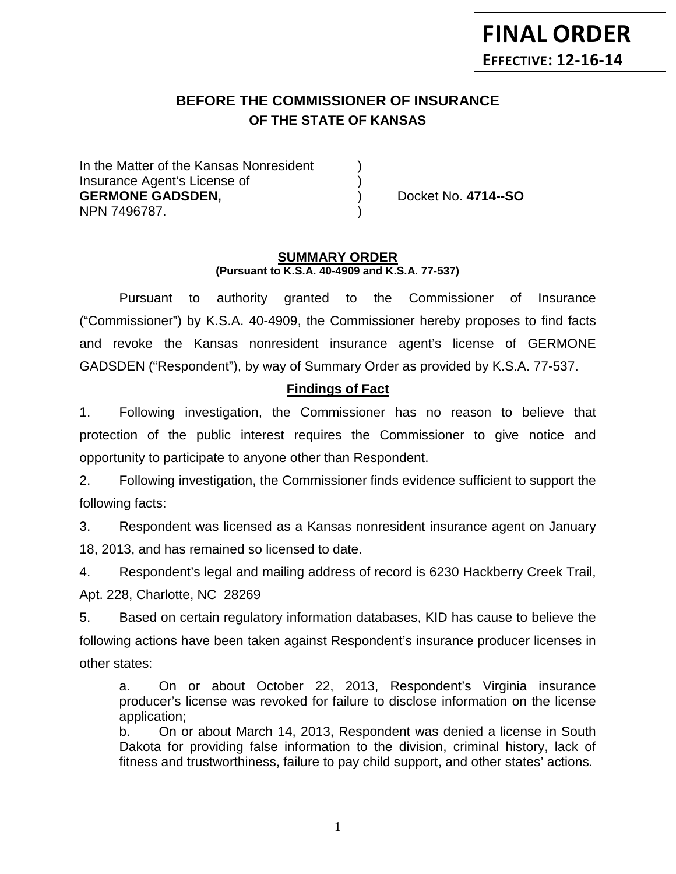# **BEFORE THE COMMISSIONER OF INSURANCE OF THE STATE OF KANSAS**

In the Matter of the Kansas Nonresident Insurance Agent's License of ) **GERMONE GADSDEN,** ) Docket No. **4714--SO** NPN 7496787. )

#### **SUMMARY ORDER (Pursuant to K.S.A. 40-4909 and K.S.A. 77-537)**

Pursuant to authority granted to the Commissioner of Insurance ("Commissioner") by K.S.A. 40-4909, the Commissioner hereby proposes to find facts and revoke the Kansas nonresident insurance agent's license of GERMONE GADSDEN ("Respondent"), by way of Summary Order as provided by K.S.A. 77-537.

# **Findings of Fact**

1. Following investigation, the Commissioner has no reason to believe that protection of the public interest requires the Commissioner to give notice and opportunity to participate to anyone other than Respondent.

2. Following investigation, the Commissioner finds evidence sufficient to support the following facts:

3. Respondent was licensed as a Kansas nonresident insurance agent on January 18, 2013, and has remained so licensed to date.

4. Respondent's legal and mailing address of record is 6230 Hackberry Creek Trail, Apt. 228, Charlotte, NC 28269

5. Based on certain regulatory information databases, KID has cause to believe the following actions have been taken against Respondent's insurance producer licenses in other states:

a. On or about October 22, 2013, Respondent's Virginia insurance producer's license was revoked for failure to disclose information on the license application;

b. On or about March 14, 2013, Respondent was denied a license in South Dakota for providing false information to the division, criminal history, lack of fitness and trustworthiness, failure to pay child support, and other states' actions.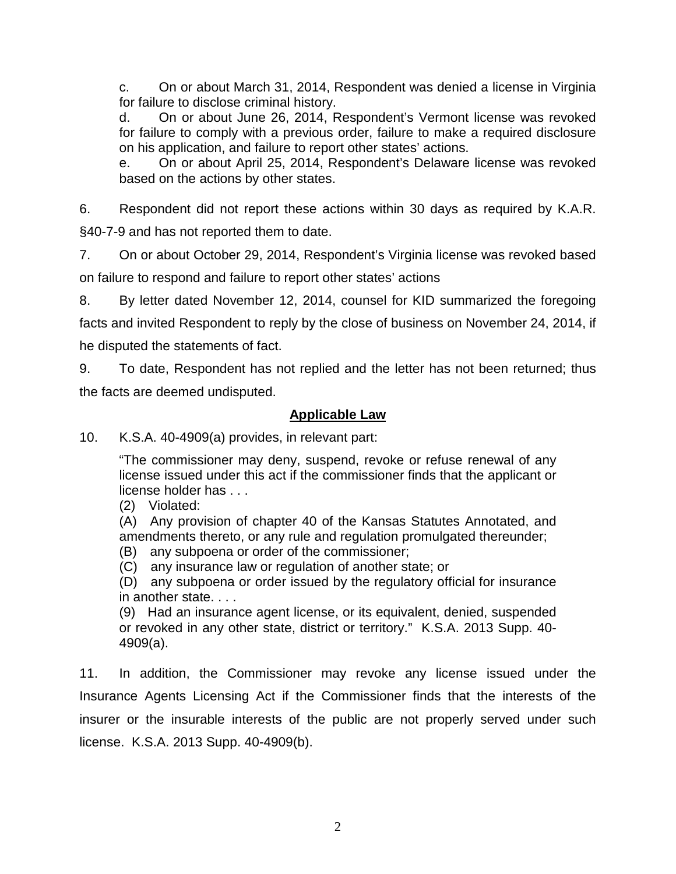c. On or about March 31, 2014, Respondent was denied a license in Virginia for failure to disclose criminal history.

d. On or about June 26, 2014, Respondent's Vermont license was revoked for failure to comply with a previous order, failure to make a required disclosure on his application, and failure to report other states' actions.

e. On or about April 25, 2014, Respondent's Delaware license was revoked based on the actions by other states.

6. Respondent did not report these actions within 30 days as required by K.A.R. §40-7-9 and has not reported them to date.

7. On or about October 29, 2014, Respondent's Virginia license was revoked based on failure to respond and failure to report other states' actions

8. By letter dated November 12, 2014, counsel for KID summarized the foregoing facts and invited Respondent to reply by the close of business on November 24, 2014, if he disputed the statements of fact.

9. To date, Respondent has not replied and the letter has not been returned; thus the facts are deemed undisputed.

# **Applicable Law**

10. K.S.A. 40-4909(a) provides, in relevant part:

"The commissioner may deny, suspend, revoke or refuse renewal of any license issued under this act if the commissioner finds that the applicant or license holder has . . .

(2) Violated:

(A) Any provision of chapter 40 of the Kansas Statutes Annotated, and amendments thereto, or any rule and regulation promulgated thereunder;

(B) any subpoena or order of the commissioner;

(C) any insurance law or regulation of another state; or

(D) any subpoena or order issued by the regulatory official for insurance in another state. . . .

(9) Had an insurance agent license, or its equivalent, denied, suspended or revoked in any other state, district or territory." K.S.A. 2013 Supp. 40- 4909(a).

11. In addition, the Commissioner may revoke any license issued under the Insurance Agents Licensing Act if the Commissioner finds that the interests of the insurer or the insurable interests of the public are not properly served under such license. K.S.A. 2013 Supp. 40-4909(b).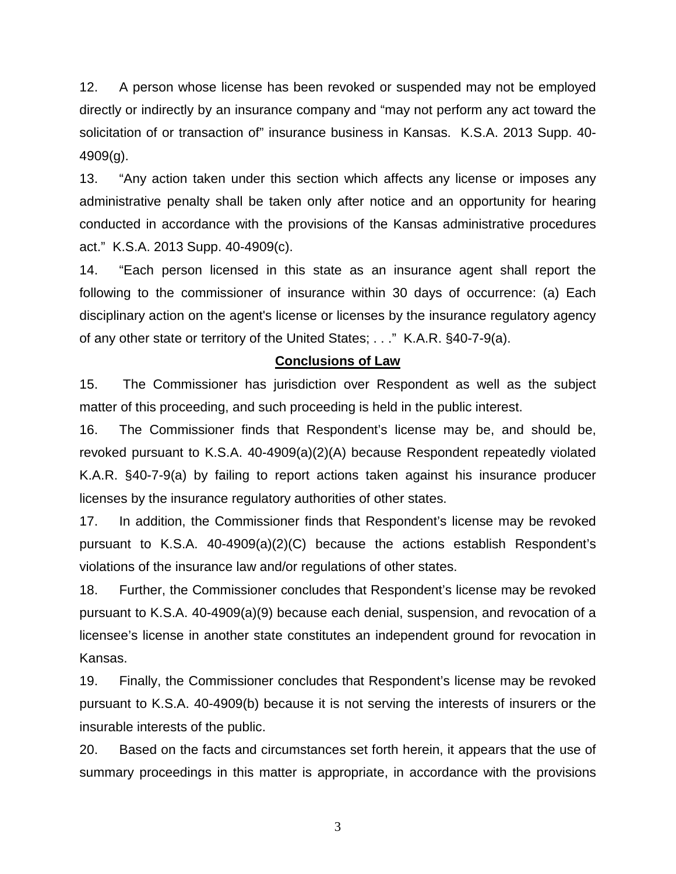12. A person whose license has been revoked or suspended may not be employed directly or indirectly by an insurance company and "may not perform any act toward the solicitation of or transaction of" insurance business in Kansas. K.S.A. 2013 Supp. 40- 4909(g).

13. "Any action taken under this section which affects any license or imposes any administrative penalty shall be taken only after notice and an opportunity for hearing conducted in accordance with the provisions of the Kansas administrative procedures act." K.S.A. 2013 Supp. 40-4909(c).

14. "Each person licensed in this state as an insurance agent shall report the following to the commissioner of insurance within 30 days of occurrence: (a) Each disciplinary action on the agent's license or licenses by the insurance regulatory agency of any other state or territory of the United States; . . ." K.A.R. §40-7-9(a).

### **Conclusions of Law**

15. The Commissioner has jurisdiction over Respondent as well as the subject matter of this proceeding, and such proceeding is held in the public interest.

16. The Commissioner finds that Respondent's license may be, and should be, revoked pursuant to K.S.A. 40-4909(a)(2)(A) because Respondent repeatedly violated K.A.R. §40-7-9(a) by failing to report actions taken against his insurance producer licenses by the insurance regulatory authorities of other states.

17. In addition, the Commissioner finds that Respondent's license may be revoked pursuant to K.S.A. 40-4909(a)(2)(C) because the actions establish Respondent's violations of the insurance law and/or regulations of other states.

18. Further, the Commissioner concludes that Respondent's license may be revoked pursuant to K.S.A. 40-4909(a)(9) because each denial, suspension, and revocation of a licensee's license in another state constitutes an independent ground for revocation in Kansas.

19. Finally, the Commissioner concludes that Respondent's license may be revoked pursuant to K.S.A. 40-4909(b) because it is not serving the interests of insurers or the insurable interests of the public.

20. Based on the facts and circumstances set forth herein, it appears that the use of summary proceedings in this matter is appropriate, in accordance with the provisions

3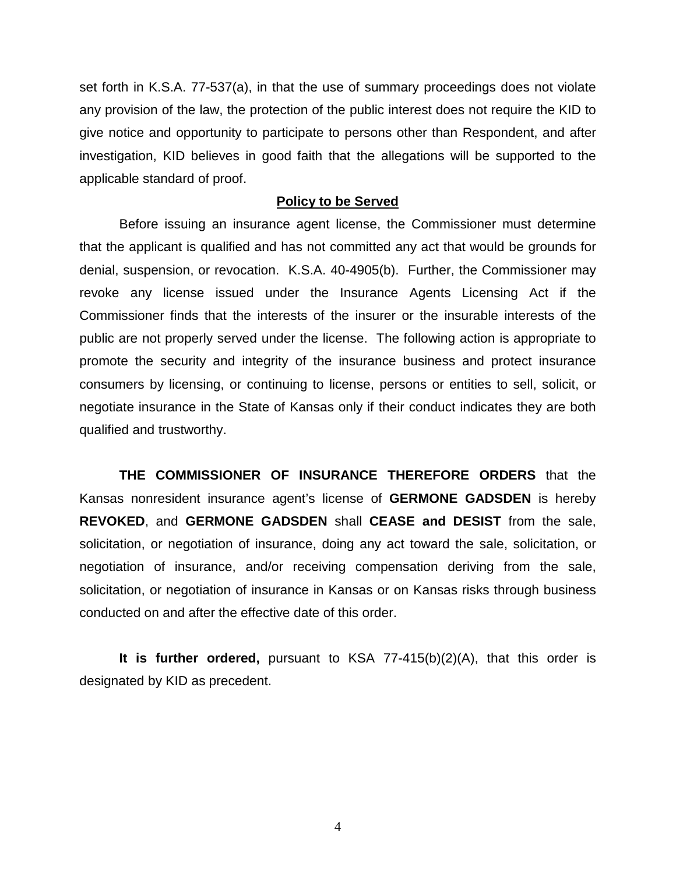set forth in K.S.A. 77-537(a), in that the use of summary proceedings does not violate any provision of the law, the protection of the public interest does not require the KID to give notice and opportunity to participate to persons other than Respondent, and after investigation, KID believes in good faith that the allegations will be supported to the applicable standard of proof.

#### **Policy to be Served**

Before issuing an insurance agent license, the Commissioner must determine that the applicant is qualified and has not committed any act that would be grounds for denial, suspension, or revocation. K.S.A. 40-4905(b). Further, the Commissioner may revoke any license issued under the Insurance Agents Licensing Act if the Commissioner finds that the interests of the insurer or the insurable interests of the public are not properly served under the license. The following action is appropriate to promote the security and integrity of the insurance business and protect insurance consumers by licensing, or continuing to license, persons or entities to sell, solicit, or negotiate insurance in the State of Kansas only if their conduct indicates they are both qualified and trustworthy.

**THE COMMISSIONER OF INSURANCE THEREFORE ORDERS** that the Kansas nonresident insurance agent's license of **GERMONE GADSDEN** is hereby **REVOKED**, and **GERMONE GADSDEN** shall **CEASE and DESIST** from the sale, solicitation, or negotiation of insurance, doing any act toward the sale, solicitation, or negotiation of insurance, and/or receiving compensation deriving from the sale, solicitation, or negotiation of insurance in Kansas or on Kansas risks through business conducted on and after the effective date of this order.

**It is further ordered,** pursuant to KSA 77-415(b)(2)(A), that this order is designated by KID as precedent.

4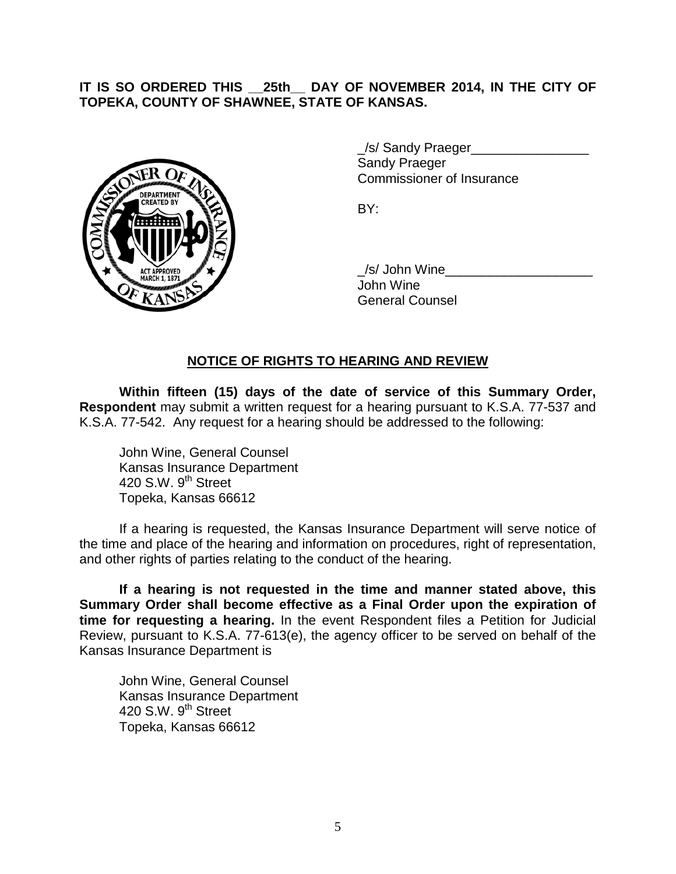## **IT IS SO ORDERED THIS \_\_25th\_\_ DAY OF NOVEMBER 2014, IN THE CITY OF TOPEKA, COUNTY OF SHAWNEE, STATE OF KANSAS.**



/s/ Sandy Praeger Sandy Praeger Commissioner of Insurance

BY:

/s/ John Wine John Wine General Counsel

### **NOTICE OF RIGHTS TO HEARING AND REVIEW**

**Within fifteen (15) days of the date of service of this Summary Order, Respondent** may submit a written request for a hearing pursuant to K.S.A. 77-537 and K.S.A. 77-542. Any request for a hearing should be addressed to the following:

John Wine, General Counsel Kansas Insurance Department 420 S.W.  $9<sup>th</sup>$  Street Topeka, Kansas 66612

If a hearing is requested, the Kansas Insurance Department will serve notice of the time and place of the hearing and information on procedures, right of representation, and other rights of parties relating to the conduct of the hearing.

**If a hearing is not requested in the time and manner stated above, this Summary Order shall become effective as a Final Order upon the expiration of time for requesting a hearing.** In the event Respondent files a Petition for Judicial Review, pursuant to K.S.A. 77-613(e), the agency officer to be served on behalf of the Kansas Insurance Department is

John Wine, General Counsel Kansas Insurance Department 420 S.W. 9<sup>th</sup> Street Topeka, Kansas 66612